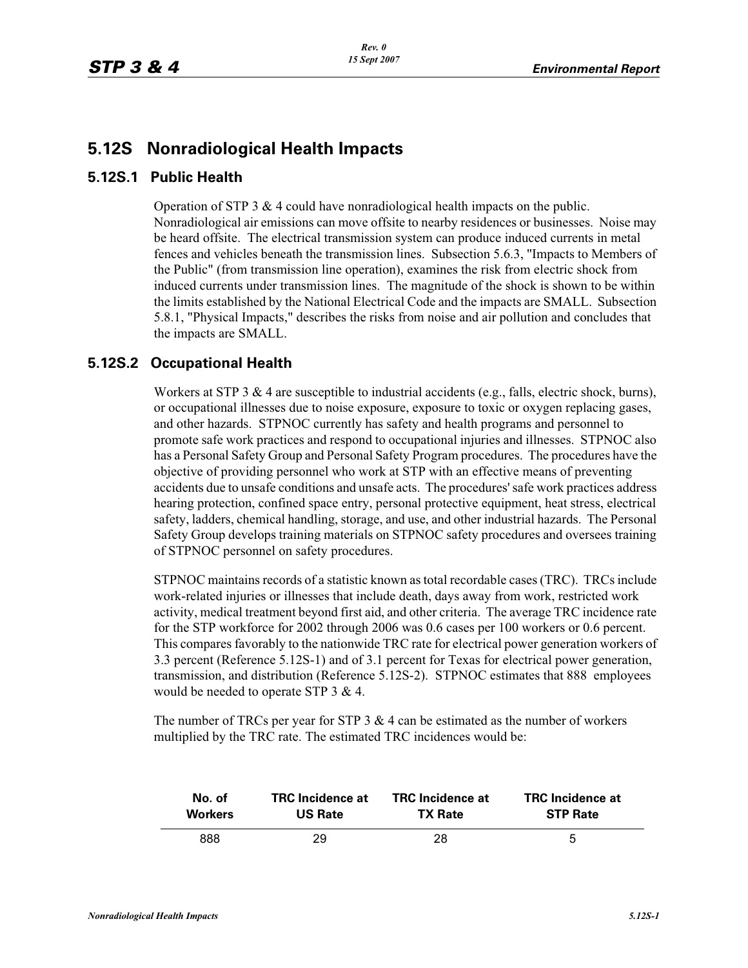## **5.12S Nonradiological Health Impacts**

## **5.12S.1 Public Health**

Operation of STP 3  $\&$  4 could have nonradiological health impacts on the public. Nonradiological air emissions can move offsite to nearby residences or businesses. Noise may be heard offsite. The electrical transmission system can produce induced currents in metal fences and vehicles beneath the transmission lines. Subsection 5.6.3, "Impacts to Members of the Public" (from transmission line operation), examines the risk from electric shock from induced currents under transmission lines. The magnitude of the shock is shown to be within the limits established by the National Electrical Code and the impacts are SMALL. Subsection 5.8.1, "Physical Impacts," describes the risks from noise and air pollution and concludes that the impacts are SMALL.

## **5.12S.2 Occupational Health**

Workers at STP 3  $&$  4 are susceptible to industrial accidents (e.g., falls, electric shock, burns), or occupational illnesses due to noise exposure, exposure to toxic or oxygen replacing gases, and other hazards. STPNOC currently has safety and health programs and personnel to promote safe work practices and respond to occupational injuries and illnesses. STPNOC also has a Personal Safety Group and Personal Safety Program procedures. The procedures have the objective of providing personnel who work at STP with an effective means of preventing accidents due to unsafe conditions and unsafe acts. The procedures' safe work practices address hearing protection, confined space entry, personal protective equipment, heat stress, electrical safety, ladders, chemical handling, storage, and use, and other industrial hazards. The Personal Safety Group develops training materials on STPNOC safety procedures and oversees training of STPNOC personnel on safety procedures.

STPNOC maintains records of a statistic known as total recordable cases (TRC). TRCs include work-related injuries or illnesses that include death, days away from work, restricted work activity, medical treatment beyond first aid, and other criteria. The average TRC incidence rate for the STP workforce for 2002 through 2006 was 0.6 cases per 100 workers or 0.6 percent. This compares favorably to the nationwide TRC rate for electrical power generation workers of 3.3 percent (Reference 5.12S-1) and of 3.1 percent for Texas for electrical power generation, transmission, and distribution (Reference 5.12S-2). STPNOC estimates that 888 employees would be needed to operate STP 3 & 4.

The number of TRCs per year for STP  $3 \& 4$  can be estimated as the number of workers multiplied by the TRC rate. The estimated TRC incidences would be:

| No. of         | <b>TRC</b> Incidence at | <b>TRC</b> Incidence at | <b>TRC</b> Incidence at |
|----------------|-------------------------|-------------------------|-------------------------|
| <b>Workers</b> | <b>US Rate</b>          | <b>TX Rate</b>          | <b>STP Rate</b>         |
| 888            | 29.                     | 28                      | 5                       |